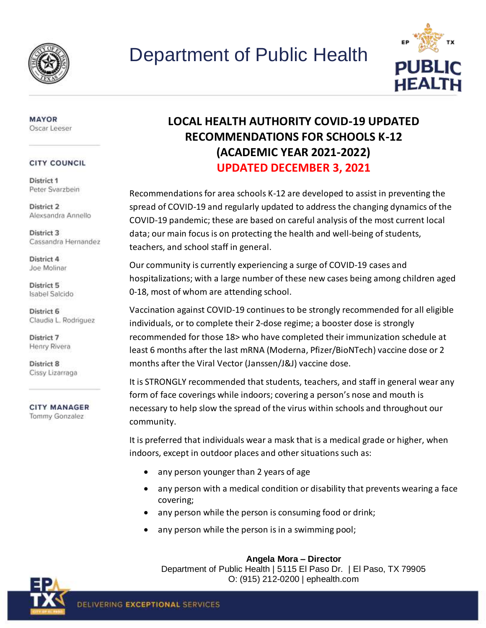



### **MAYOR** Oscar Leeser

## **CITY COUNCIL**

District 1 Peter Svarzbein

District 2 Alexsandra Annello

District 3 Cassandra Hernandez

District 4 Joe Molinar

District 5 Isabel Salcido

District 6 Claudia L. Rodriguez

District 7 Henry Rivera

District 8 Cissy Lizarraga

**CITY MANAGER** Tommy Gonzalez

# **LOCAL HEALTH AUTHORITY COVID-19 UPDATED RECOMMENDATIONS FOR SCHOOLS K-12 (ACADEMIC YEAR 2021-2022) UPDATED DECEMBER 3, 2021**

Recommendations for area schools K-12 are developed to assist in preventing the spread of COVID-19 and regularly updated to address the changing dynamics of the COVID-19 pandemic; these are based on careful analysis of the most current local data; our main focus is on protecting the health and well-being of students, teachers, and school staff in general.

Our community is currently experiencing a surge of COVID-19 cases and hospitalizations; with a large number of these new cases being among children aged 0-18, most of whom are attending school.

Vaccination against COVID-19 continues to be strongly recommended for all eligible individuals, or to complete their 2-dose regime; a booster dose is strongly recommended for those 18> who have completed their immunization schedule at least 6 months after the last mRNA (Moderna, Pfizer/BioNTech) vaccine dose or 2 months after the Viral Vector (Janssen/J&J) vaccine dose.

It is STRONGLY recommended that students, teachers, and staff in general wear any form of face coverings while indoors; covering a person's nose and mouth is necessary to help slow the spread of the virus within schools and throughout our community.

It is preferred that individuals wear a mask that is a medical grade or higher, when indoors, except in outdoor places and other situations such as:

- any person younger than 2 years of age
- any person with a medical condition or disability that prevents wearing a face covering;
- any person while the person is consuming food or drink;
- any person while the person is in a swimming pool;

**Angela Mora – Director** 

Department of Public Health | 5115 El Paso Dr. | El Paso, TX 79905 O: (915) 212-0200 | ephealth.com